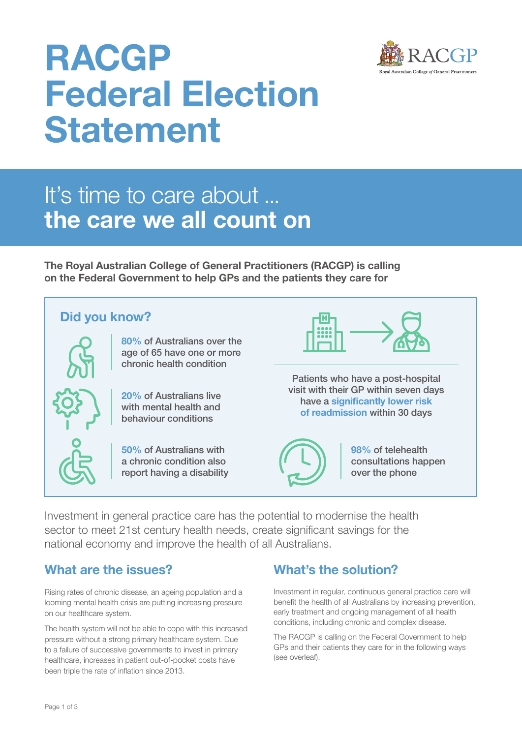

# RACGP Federal Election Statement

# It's time to care about ... the care we all count on

The Royal Australian College of General Practitioners (RACGP) is calling on the Federal Government to help GPs and the patients they care for



Investment in general practice care has the potential to modernise the health sector to meet 21st century health needs, create significant savings for the national economy and improve the health of all Australians.

#### What are the issues?

Rising rates of chronic disease, an ageing population and a looming mental health crisis are putting increasing pressure on our healthcare system.

The health system will not be able to cope with this increased pressure without a strong primary healthcare system. Due to a failure of successive governments to invest in primary healthcare, increases in patient out-of-pocket costs have been triple the rate of inflation since 2013.

#### What's the solution?

Investment in regular, continuous general practice care will benefit the health of all Australians by increasing prevention, early treatment and ongoing management of all health conditions, including chronic and complex disease.

The RACGP is calling on the Federal Government to help GPs and their patients they care for in the following ways (see overleaf).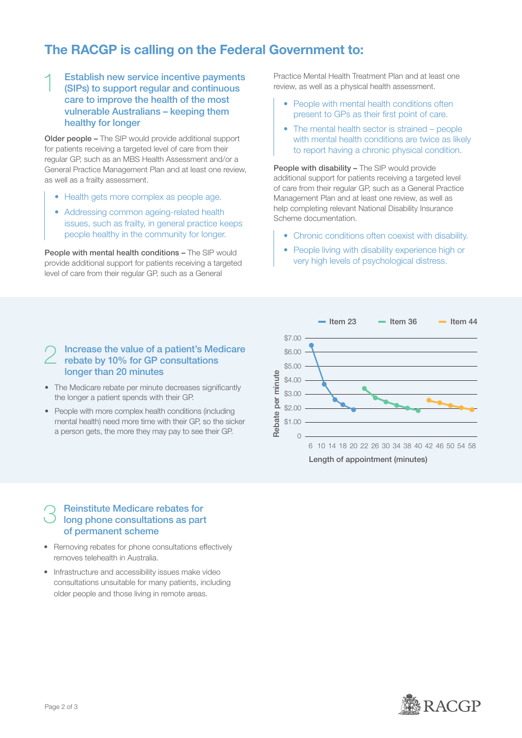#### The RACGP is calling on the Federal Government to:

**Establish new service incentive payments** (SIPs) to support regular and continuous care to improve the health of the most vulnerable Australians – keeping them healthy for longer

Older people – The SIP would provide additional support for patients receiving a targeted level of care from their regular GP, such as an MBS Health Assessment and/or a General Practice Management Plan and at least one review, as well as a frailty assessment.

- Health gets more complex as people age.
- Addressing common ageing-related health issues, such as frailty, in general practice keeps people healthy in the community for longer.

People with mental health conditions - The SIP would provide additional support for patients receiving a targeted level of care from their regular GP, such as a General

Increase the value of a patient's Medicare rebate by 10% for GP consultations

Practice Mental Health Treatment Plan and at least one review, as well as a physical health assessment.

- People with mental health conditions often present to GPs as their first point of care.
- The mental health sector is strained people with mental health conditions are twice as likely to report having a chronic physical condition.

People with disability - The SIP would provide additional support for patients receiving a targeted level of care from their regular GP, such as a General Practice Management Plan and at least one review, as well as help completing relevant National Disability Insurance Scheme documentation.

- Chronic conditions often coexist with disability.
- People living with disability experience high or very high levels of psychological distress.



#### • People with more complex health conditions (including mental health) need more time with their GP, so the sicker a person gets, the more they may pay to see their GP.

• The Medicare rebate per minute decreases significantly

longer than 20 minutes

the longer a patient spends with their GP.

### 3 Reinstitute Medicare rebates for long phone consultations as part of permanent scheme

- Removing rebates for phone consultations effectively removes telehealth in Australia.
- Infrastructure and accessibility issues make video consultations unsuitable for many patients, including older people and those living in remote areas.